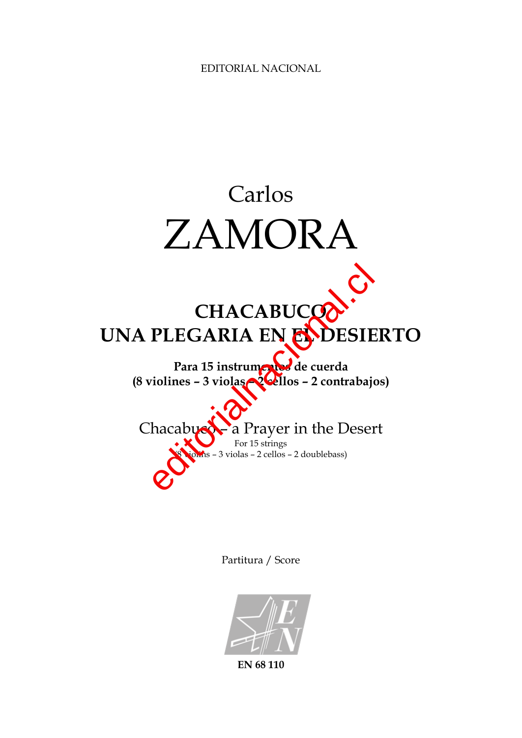## Carlos ZAMORA **CHACABUCO** UNA PLEGARIA EN EL DESIERTO Para 15 instrumentos de cuerda **(8 violines – 3 violas – 2 cellos – 2 contrabajos)** Chacabuco – a Prayer in the Desert For 15 strings  $\overline{\text{us}}$  – 3 violas – 2 cellos – 2 doublebass) CHACABUCON<br>PLEGARIA EN ENDESIE<br>Para 15 instrumento de cuerda<br>iolines - 3 violas excellos - 2 contrabajo<br>hacabused a Prayer in the Deser<br>For 15 strings<br>For 15 strings<br>Parager in the Deser

Partitura / Score



**EN 68 110**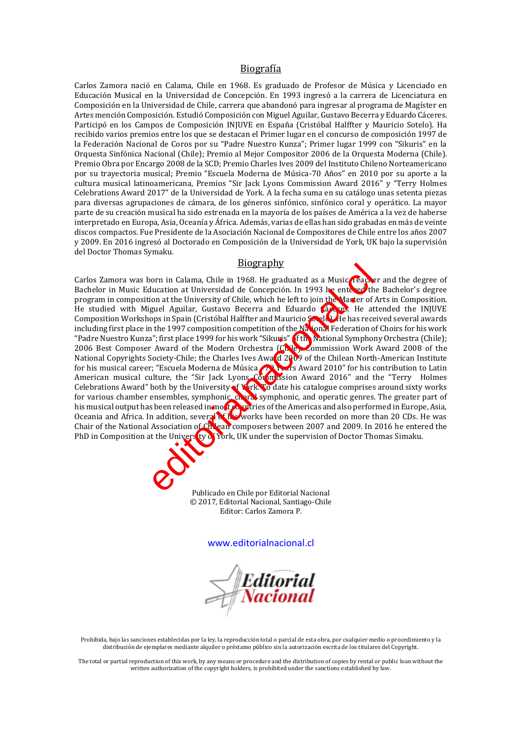## Biografía

Carlos Zamora nació en Calama, Chile en 1968. Es graduado de Profesor de Música y Licenciado en Educación Musical en la Universidad de Concepción. En 1993 ingresó a la carrera de Licenciatura en Composición en la Universidad de Chile, carrera que abandonó para ingresar al programa de Magíster en Artes mención Composición. Estudió Composición con Miguel Aguilar, Gustavo Becerra y Eduardo Cáceres. Participó en los Campos de Composición INJUVE en España (Cristóbal Halffter y Mauricio Sotelo). Ha recibido varios premios entre los que se destacan el Primer lugar en el concurso de composición 1997 de la Federación Nacional de Coros por su "Padre Nuestro Kunza"; Primer lugar 1999 con "Sikuris" en la Orquesta Sinfónica Nacional (Chile); Premio al Mejor Compositor 2006 de la Orquesta Moderna (Chile). Premio Obra por Encargo 2008 de la SCD; Premio Charles Ives 2009 del Instituto Chileno Norteamericano por su trayectoria musical; Premio "Escuela Moderna de Música-70 Años" en 2010 por su aporte a la cultura musical latinoamericana, Premios "Sir Jack Lyons Commission Award 2016" y "Terry Holmes Celebrations Award 2017" de la Universidad de York. A la fecha suma en su catálogo unas setenta piezas para diversas agrupaciones de cámara, de los géneros sinfónico, sinfónico coral y operático. La mayor parte de su creación musical ha sido estrenada en la mayoría de los países de América a la vez de haberse interpretado en Europa, Asia, Oceanía y África. Además, varias de ellas han sido grabadas en más de veinte discos compactos. Fue Presidente de la Asociación Nacional de Compositores de Chile entre los años 2007 y 2009. En 2016 ingresó al Doctorado en Composición de la Universidad de York, UK bajo la supervisión del Doctor Thomas Symaku.

## Biography

Carlos Zamora was born in Calama, Chile in 1968. He graduated as a Musicateacher and the degree of Bachelor in Music Education at Universidad de Concepción. In 1993 he entered the Bachelor's degree program in composition at the University of Chile, which he left to join the Master of Arts in Composition. He studied with Miguel Aguilar, Gustavo Becerra and Eduardo (are es. He attended the INJUVE Composition Workshops in Spain (Cristóbal Halffter and Mauricio Sotelo). He has received several awards including first place in the 1997 composition competition of the National Federation of Choirs for his work "Padre Nuestro Kunza"; first place 1999 for his work "Sikuris" (fthe National Symphony Orchestra (Chile); 2006 Best Composer Award of the Modern Orchestra (Chile). Commission Work Award 2008 of the National Copyrights Society-Chile; the Charles Ives Awa<sup>rd</sup> 2009 of the Chilean North-American Institute for his musical career; "Escuela Moderna de Música **1988 Years Award 2010"** for his contribution to Latin American musical culture, the "Sir Jack Lyons Commission Award 2016" and the "Terry Holmes Celebrations Award" both by the University of  $\mathbf{Y}$ rk. To date his catalogue comprises around sixty works for various chamber ensembles, symphonic, charal symphonic, and operatic genres. The greater part of his musical output has been released in mot to untries of the Americas and also performed in Europe, Asia, Oceania and Africa. In addition, several **of his works** have been recorded on more than 20 CDs. He was Chair of the National Association of Chilean composers between 2007 and 2009. In 2016 he entered the PhD in Composition at the Univers ty  $\sigma$  York, UK under the supervision of Doctor Thomas Simaku. Biography<br>
includion at Universidad de Concepción. In 1993 le entered the<br>
utucation at the University of Chile, which he left to join the University of Chile, which he left to join the Mayer of<br>
guel Aguilar, Gustavo Bece

Publicado en Chile por Editorial Nacional © 2017, Editorial Nacional, Santiago-Chile Editor: Carlos Zamora P.

## [www.editorialnacional.cl](http://www.editorialnacional.cl/)



Prohibida, bajo las sanciones establecidas por la ley, la reproducción total o parcial de esta obra, por cualquier medio o procedimiento y la distribución de ejemplares mediante alquiler o préstamo público sin la autorización escrita de los titulares del Copyright.

The total or partial reproduction of this work, by any means or procedure and the distribution of copies by rental or public loan without the written authorization of the copyright holders, is prohibited under the sanctions established by law.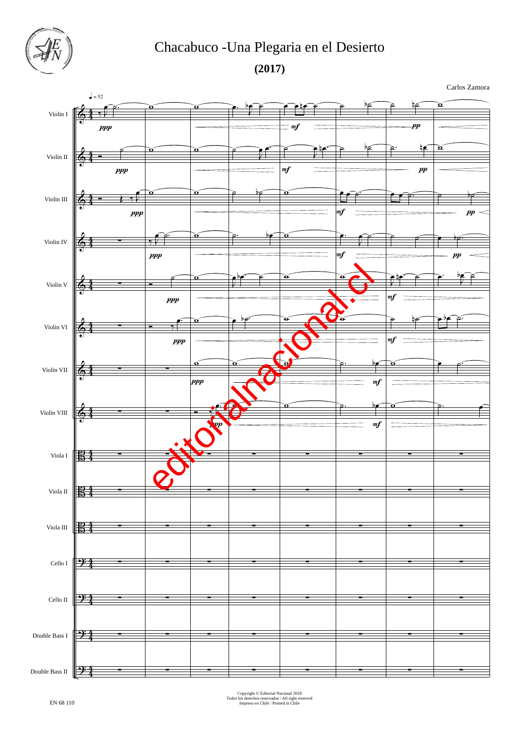

Chacabuco -Una Plegaria en el Desierto

**(2017)**

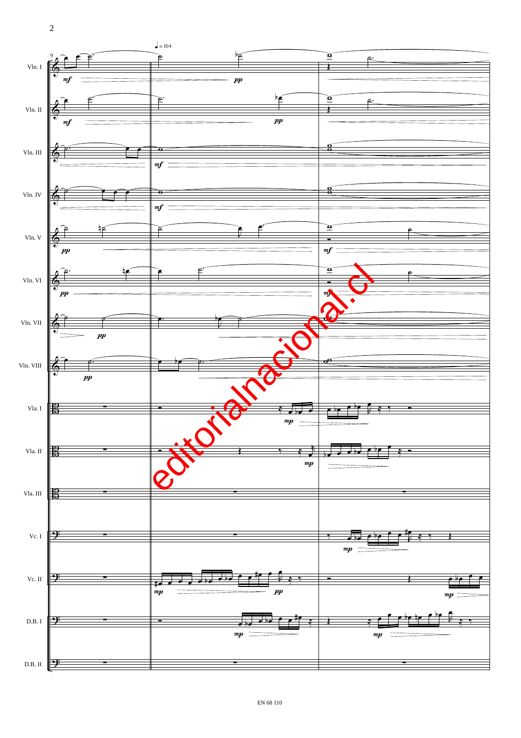